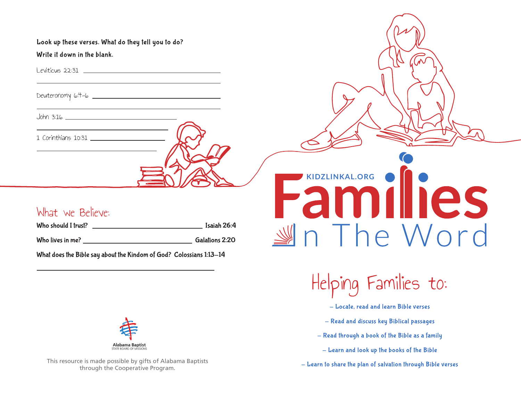Look up these verses. What do they tell you to do? Write it down in the blank.

Leviticus 22:31

Deuteronomy 6:4-6

John 3:16

1 Corinthians 10:31

### What we Believe:

Who should I trust? <u>Isaiah 26:4</u> Who lives in me? Galations 2:20

What does the Bible say about the Kindom of God? Colossians 1:13-14



This resource is made possible by gifts of Alabama Baptists through the Cooperative Program.

# **KIDZLINKAL.ORG** Families  $M \cap$  The Word

Helping Families to:

- Locate, read and learn Bible verses
- Read and discuss key Biblical passages
- Read through a book of the Bible as a family
	- Learn and look up the books of the Bible
- Learn to share the plan of salvation through Bible verses